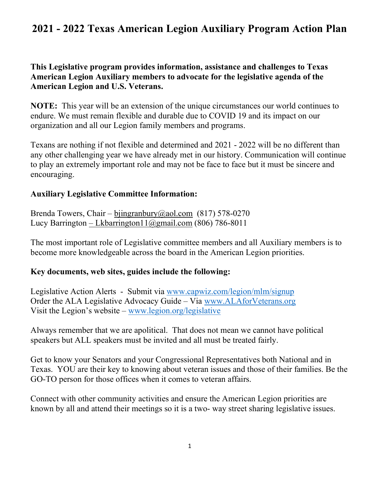# 2021 - 2022 Texas American Legion Auxiliary Program Action Plan

### This Legislative program provides information, assistance and challenges to Texas American Legion Auxiliary members to advocate for the legislative agenda of the American Legion and U.S. Veterans.

NOTE: This year will be an extension of the unique circumstances our world continues to endure. We must remain flexible and durable due to COVID 19 and its impact on our organization and all our Legion family members and programs.

Texans are nothing if not flexible and determined and 2021 - 2022 will be no different than any other challenging year we have already met in our history. Communication will continue to play an extremely important role and may not be face to face but it must be sincere and encouraging.

#### Auxiliary Legislative Committee Information:

Brenda Towers, Chair – biingranbury@aol.com (817) 578-0270 Lucy Barrington – Lkbarrington $11$  ( $\partial$ gmail.com (806) 786-8011

The most important role of Legislative committee members and all Auxiliary members is to become more knowledgeable across the board in the American Legion priorities.

#### Key documents, web sites, guides include the following:

Legislative Action Alerts - Submit via www.capwiz.com/legion/mlm/signup Order the ALA Legislative Advocacy Guide – Via www.ALAforVeterans.org Visit the Legion's website – www.legion.org/legislative

Always remember that we are apolitical. That does not mean we cannot have political speakers but ALL speakers must be invited and all must be treated fairly.

Get to know your Senators and your Congressional Representatives both National and in Texas. YOU are their key to knowing about veteran issues and those of their families. Be the GO-TO person for those offices when it comes to veteran affairs.

Connect with other community activities and ensure the American Legion priorities are known by all and attend their meetings so it is a two- way street sharing legislative issues.